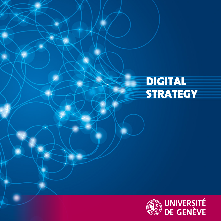### DIGITAL **STRATEGY**

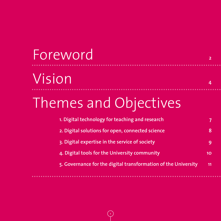## Vision **<sup>4</sup>** Foreword 2007

## Themes and Objectives

| 1. Digital technology for teaching and research                |  |
|----------------------------------------------------------------|--|
| 2. Digital solutions for open, connected science               |  |
| 3. Digital expertise in the service of society                 |  |
| 4. Digital tools for the University community                  |  |
| 5. Governance for the digital transformation of the University |  |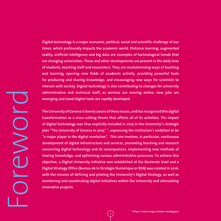**Digital technology is a major economic, political, social and scientific challenge of our times, which profoundly impacts the academic world. Distance learning, augmented reality, artificial intelligence and big data are examples of technological trends that are changing universities. These and other developments are present in the daily lives of students, teaching staff and researchers. They are revolutionising ways of teaching and learning, opening new fields of academic activity, providing powerful tools for producing and sharing knowledge, and encouraging new ways for scientists to interact with society. Digital technology is also contributing to changes for university administrative and technical staff, as services are moving online, new jobs are emerging and novel digital tools are rapidly developed.**

**The University of Geneva is keenly aware of these issues, and has recognised this digital transformation as a cross-cutting theme that affects all of its activities. The impact of digital technology was thus explicitly included in 2015 in the University's strategic plan "The University of Geneva in 2025" \*, expressing the institution's ambition to be "a major player in the digital revolution". This aim involves, in particular, continuous development of digital infrastructure and services, promoting teaching and research concerning digital technology and its consequences, implementing new methods of sharing knowledge, and optimising various administrative processes. To achieve this objective, a Digital University initiative was established at the Rectorate level and a Digital Strategy Office (Bureau de la Stratégie Numérique or BSN) was created in 2016, with the mission of defining and piloting the University's Digital Strategy, as well as monitoring and coordinating digital initiatives within the University and stimulating innovative projects.**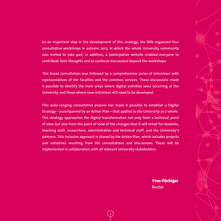**As an important step in the development of this strategy, the BSN organized four consultative workshops in autumn 2017, in which the whole University community was invited to take part. In addition, a participative website enabled everyone to contribute their thoughts and to continue discussions beyond the workshops.** 

**This broad consultation was followed by a comprehensive series of interviews with representatives of the faculties and the common services. These discussions made it possible to identify the main areas where digital activities were occurring at the University and those where new initiatives still need to be developed.**

**This wide-ranging consultative process has made it possible to establish a Digital Strategy – accompanied by an Action Plan – that applies to the University as a whole. This strategy approaches the digital transformation not only from a technical point of view but also from the point of view of the changes that it will entail for students, teaching staff, researchers, administrative and technical staff, and the University's partners. This inclusive approach is shared by the Action Plan, which includes projects and initiatives resulting from the consultations and discussions. These will be implemented in collaboration with all relevant University stakeholders.** 

> Yves Flückiger **Rector**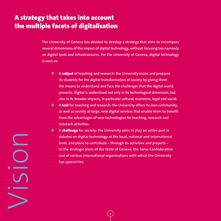#### A strategy that takes into account the multiple facets of digitalisation

**The University of Geneva has decided to develop a strategy that aims to encompass several dimensions of the impact of digital technology, without focusing too narrowly on digital tools and infrastructures. For the University of Geneva, digital technology is seen as:** 

- $\bullet$  **A subject** of teaching and research: the University trains and prepares **its students for the digital transformation of society by giving them the means to understand and face the challenges that the digital world presents. Digital is understood not only in its technological dimension, but also in its broader impacts, in particular cultural, economic, legal and social.**
- **<sup>** $\bullet$ **</sup>** A **tool** for teaching and research: the University offers its own community, **as well as society at large, new digital services that enable them to benefit from the advantages of new technologies for teaching, research and outreach activities.**
- **Q** A **challenge** for society: the University aims to play an active part in **debates on digital technology at the local, national and international level, and plans to contribute – through its activities and projects – to the strategic plans of the State of Geneva, the Swiss Confederation and of various international organisations with which the University has special ties.**

Vision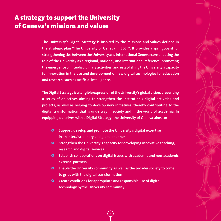#### A strategy to support the University of Geneva's missions and values

**The University's Digital Strategy is inspired by the missions and values defined in the strategic plan "The University of Geneva in 2025". It provides a springboard for strengthening ties between the University and International Geneva; consolidating the role of the University as a regional, national, and international reference; promoting the emergence of interdisciplinary activities; and establishing the University's capacity for innovation in the use and development of new digital technologies for education and research, such as artificial intelligence.** 

**The Digital Strategy is a tangible expression of the University's global vision, presenting a series of objectives aiming to strengthen the institution's digital activities and projects, as well as helping to develop new initiatives, thereby contributing to the digital transformation that is underway in society and in the world of academia. In equipping ourselves with a Digital Strategy, the University of Geneva aims to:**

- $\bullet$  Support, develop and promote the University's digital expertise **in an interdisciplinary and global manner**
- **O** Strengthen the University's capacity for developing innovative teaching, **research and digital services**
- $\bullet$  Establish collaborations on digital issues with academic and non-academic **external partners**
- $\bullet$  Enable the University community as well as the broader society to come **to grips with the digital transformation**

**5**

 $\bullet$  Create conditions for appropriate and responsible use of digital **technology by the University community**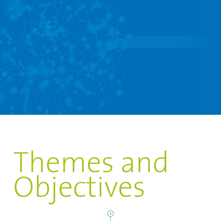

# Themes and Objectives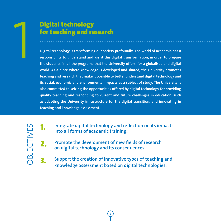

#### Digital technology for teaching and research

**1 Digital technology<br>
1 for teaching and research<br>
1 and 1 and 2 and 1 and 2 and 2 and 2 and 2 and 3 and 3 and 4 and 3 and 4 and 3 and 4 and 4 and 4 and 4 and 4 and 4 and 4 and 4 and 4 and 4 and 4 and 4 and 4 and 4 and 4 responsibility to understand and assist this digital transformation, in order to prepare the students, in all the programs that the University offers, for a globalised and digital world. As a place where knowledge is developed and shared, the University promotes teaching and research that make it possible to better understand digital technology and its social, economic and environmental impacts as a subject of study. The University is also committed to seizing the opportunities offered by digital technology for providing quality teaching and responding to current and future challenges in education, such as adapting the University infrastructure for the digital transition, and innovating in teaching and knowledge assessment.** 

OBJECTIVES **DBJECTIVES**  1. **Integrate digital technology and reflection on its impacts into all forms of academic training.**

2. **Promote the development of new fields of research on digital technology and its consequences.**

3. **Support the creation of innovative types of teaching and knowledge assessment based on digital technologies.**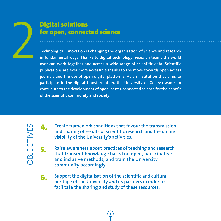

#### Digital solutions for open, connected science

**Example 12 Solutions<br>
2 <b>Technological innovation is changing the organisation of science and research in fundamental ways. Thanks to digital technology, research teams the world over can work together and access a wide r in fundamental ways. Thanks to digital technology, research teams the world over can work together and access a wide range of scientific data. Scientific publications are ever more accessible thanks to the move towards open access journals and the use of open digital platforms. As an institution that aims to participate in the digital transformation, the University of Geneva wants to contribute to the development of open, better-connected science for the benefit of the scientific community and society.**



4. **Create framework conditions that favour the transmission and sharing of results of scientific research and the online visibility of the University's activities.**

5. **Raise awareness about practices of teaching and research that transmit knowledge based on open, participative and inclusive methods, and train the University community accordingly.**

6. **Support the digitalisation of the scientific and cultural heritage of the University and its partners in order to facilitate the sharing and study of these resources.**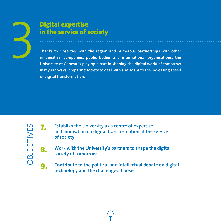

#### Digital expertise in the service of society

**Example 12 Starting in the service of society**<br>3**Thanks to close ties with the region and numerous partnerships with other**<br>3**Thanks to close ties with the region and numerous partnerships with other**<br>3**Thanks to close ti universities, companies, public bodies and international organisations, the University of Geneva is playing a part in shaping the digital world of tomorrow in myriad ways, preparing society to deal with and adapt to the increasing speed of digital transformation.** 



7. **Establish the University as a centre of expertise and innovation on digital transformation at the service of society.**

8. **Work with the University's partners to shape the digital society of tomorrow.**

9. **Contribute to the political and intellectual debate on digital technology and the challenges it poses.**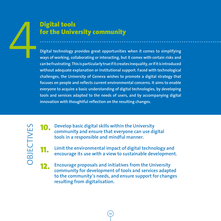#### Digital tools for the University community

**Digital tools<br>
for the University community<br>
Digital technology provides great opportunities when it comes to simplifying<br>
ways of working, collaborating or interacting, but it comes with certain risks and<br>
can be frustra ways of working, collaborating or interacting, but it comes with certain risks and can be frustrating. This is particularly true if it creates inequality, or if it is introduced without adequate explanation or institutional support. Faced with technological challenges, the University of Geneva wishes to promote a digital strategy that focuses on people and reflects current environmental concerns. It aims to enable everyone to acquire a basic understanding of digital technologies, by developing tools and services adapted to the needs of users, and by accompanying digital innovation with thoughtful reflection on the resulting changes.**

**OBJECTIVES** OBJECTIVES

10. **Develop basic digital skills within the University community and ensure that everyone can use digital tools in a responsible and mindful manner.**

Limit the environmental impact of digital technology and **encourage its use with a view to sustainable development.**

12. **Encourage proposals and initiatives from the University community for development of tools and services adapted to the community's needs, and ensure support for changes resulting from digitalisation.**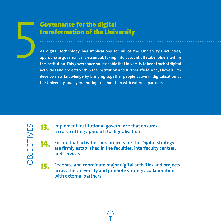#### Governance for the digital transformation of the University

**Example 19 Covernance for the digital<br>transformation of the University<br>As digital technology has implications for all of the University's activities,<br>appropriate governance is essential, taking into account all stakeholde appropriate governance is essential, taking into account all stakeholders within the institution. This governance must enable the University to keep track of digital activities and projects within the institution and further afield, and, above all, to develop new knowledge by bringing together people active in digitalisation at the University and by promoting collaboration with external partners.**

**OBJECTIVES** OBJECTIVES

13. **Implement institutional governance that ensures a cross-cutting approach to digitalisation.**

14. **Ensure that activities and projects for the Digital Strategy are firmly established in the faculties, interfaculty centres, and services.** 

15. **Federate and coordinate major digital activities and projects across the University and promote strategic collaborations with external partners.**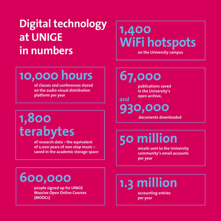## **Digital technology at UNIGE in numbers**

## **1,400 WiFi hotspots**

**on the University campus**

## **10,000 hours**

**of classes and conferences stored on the audio-visual distribution platform per year**

## **1,800 terabytes**

**of research data – the equivalent of 2,000 years of non-stop music – saved in the academic storage space** **67,000**

**and**

**publications saved in the University's open archive,** 

**930,000**

**documents downloaded**

## **50 million**

**emails sent to the University community's email accounts per year**

## **600,000**

**people signed up for UNIGE Massive Open Online Courses (MOOCs)** 

**1.3 million** 

**accounting entries per year**